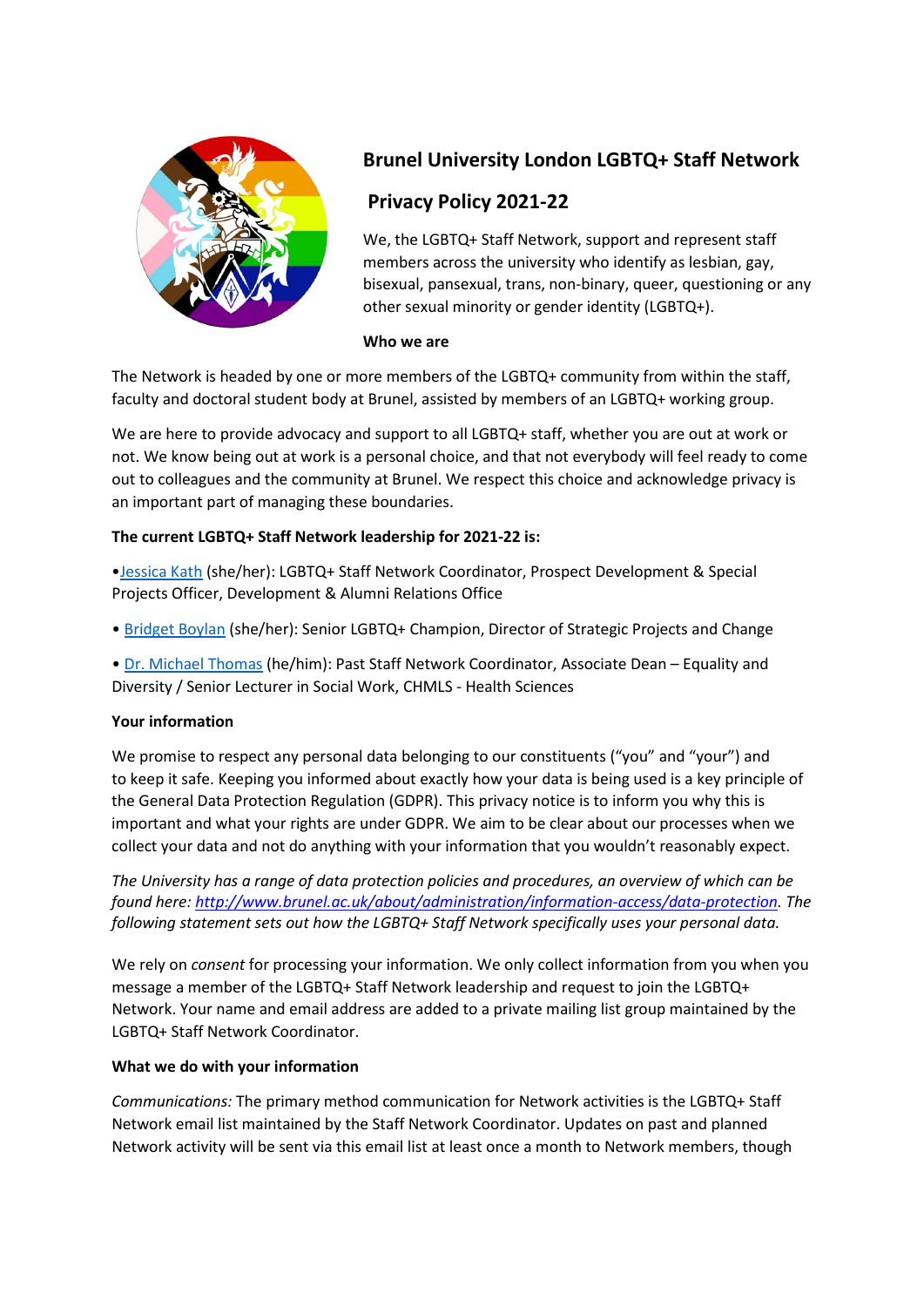

# **Brunel University London LGBTQ+ Staff Network**

## **Privacy Policy 2021-22**

We, the LGBTQ+ Staff Network, support and represent staff members across the university who identify as lesbian, gay, bisexual, pansexual, trans, non-binary, queer, questioning or any other sexual minority or gender identity (LGBTQ+).

### **Who we are**

The Network is headed by one or more members of the LGBTQ+ community from within the staff, faculty and doctoral student body at Brunel, assisted by members of an LGBTQ+ working group.

We are here to provide advocacy and support to all LGBTQ+ staff, whether you are out at work or not. We know being out at work is a personal choice, and that not everybody will feel ready to come out to colleagues and the community at Brunel. We respect this choice and acknowledge privacy is an important part of managing these boundaries.

## **The current LGBTQ+ Staff Network leadership for 2021-22 is:**

[•Jessica Kath](mailto:jessica.kath@brunel.ac.uk) (she/her): LGBTQ+ Staff Network Coordinator, Prospect Development & Special Projects Officer, Development & Alumni Relations Office

• [Bridget Boylan](mailto:bridget.boylan@brunel.ac.uk) (she/her): Senior LGBTQ+ Champion, Director of Strategic Projects and Change

• [Dr. Michael Thomas](mailto:michael.thomas@brunel.ac.uk) (he/him): Past Staff Network Coordinator, Associate Dean – Equality and Diversity / Senior Lecturer in Social Work, CHMLS - Health Sciences

## **Your information**

We promise to respect any personal data belonging to our constituents ("you" and "your") and to keep it safe. Keeping you informed about exactly how your data is being used is a key principle of the General Data Protection Regulation (GDPR). This privacy notice is to inform you why this is important and what your rights are under GDPR. We aim to be clear about our processes when we collect your data and not do anything with your information that you wouldn't reasonably expect.

*The University has a range of data protection policies and procedures, an overview of which can be found here: [http://www.brunel.ac.uk/about/administration/information-access/data-protection.](http://www.brunel.ac.uk/about/administration/information-access/data-protection) The following statement sets out how the LGBTQ+ Staff Network specifically uses your personal data.*

We rely on *consent* for processing your information. We only collect information from you when you message a member of the LGBTQ+ Staff Network leadership and request to join the LGBTQ+ Network. Your name and email address are added to a private mailing list group maintained by the LGBTQ+ Staff Network Coordinator.

## **What we do with your information**

*Communications:* The primary method communication for Network activities is the LGBTQ+ Staff Network email list maintained by the Staff Network Coordinator. Updates on past and planned Network activity will be sent via this email list at least once a month to Network members, though